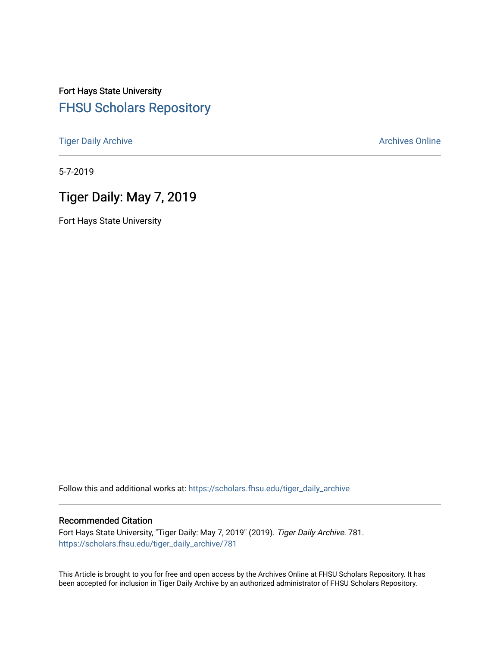# Fort Hays State University [FHSU Scholars Repository](https://scholars.fhsu.edu/)

[Tiger Daily Archive](https://scholars.fhsu.edu/tiger_daily_archive) **Archives** Online Archives Online

5-7-2019

# Tiger Daily: May 7, 2019

Fort Hays State University

Follow this and additional works at: [https://scholars.fhsu.edu/tiger\\_daily\\_archive](https://scholars.fhsu.edu/tiger_daily_archive?utm_source=scholars.fhsu.edu%2Ftiger_daily_archive%2F781&utm_medium=PDF&utm_campaign=PDFCoverPages)

#### Recommended Citation

Fort Hays State University, "Tiger Daily: May 7, 2019" (2019). Tiger Daily Archive. 781. [https://scholars.fhsu.edu/tiger\\_daily\\_archive/781](https://scholars.fhsu.edu/tiger_daily_archive/781?utm_source=scholars.fhsu.edu%2Ftiger_daily_archive%2F781&utm_medium=PDF&utm_campaign=PDFCoverPages)

This Article is brought to you for free and open access by the Archives Online at FHSU Scholars Repository. It has been accepted for inclusion in Tiger Daily Archive by an authorized administrator of FHSU Scholars Repository.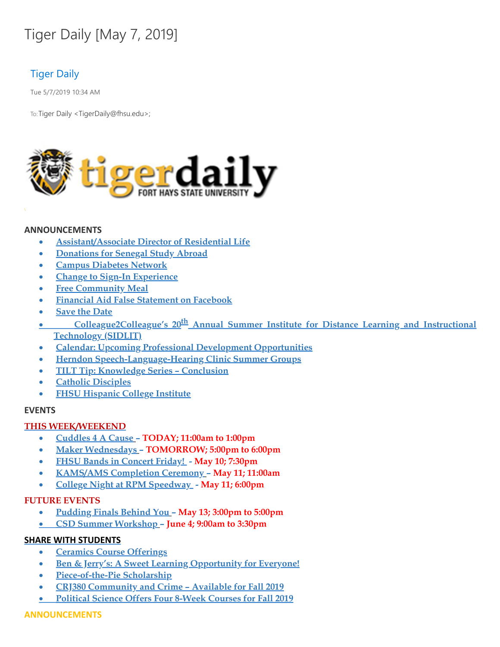# Tiger Daily [May 7, 2019]

# Tiger Daily

Tue 5/7/2019 10:34 AM

To: Tiger Daily < TigerDaily@fhsu.edu>;



# **ANNOUNCEMENTS**

- · **Assistant/Associate Director of Residential Life**
- · **Donations for Senegal Study Abroad**
- · **Campus Diabetes Network**
- · **Change to Sign-In Experience**
- · **Free Community Meal**
- · **Financial Aid False Statement on Facebook**
- · **Save the [Date](#page-3-0)**
- · **Colleague2Colleague's 20 th Annual Summer Institute for Distance Learning and Instructional Technology (SIDLIT)**
- · **Calendar: Upcoming Professional Development Opportunities**
- · **Herndon Speech-Language-Hearing Clinic Summer Groups**
- · **TILT Tip: [Knowledge](#page-4-0) Series – Conclusion**
- · **Catholic [Disciples](#page-4-1)**
- · **FHSU Hispanic College Institute**

# **EVENTS**

# **THIS WEEK/WEEKEND**

- · **[Cuddles](#page-4-2) 4 A Cause – TODAY; 11:00am to 1:00pm**
- · **Maker Wednesdays – TOMORROW; 5:00pm to 6:00pm**
- · **FHSU Bands in Concert Friday! - May 10; 7:30pm**
- · **KAMS/AMS Completion Ceremony – May 11; 11:00am**
- · **College Night at RPM Speedway - May 11; 6:00pm**

# **FUTURE EVENTS**

- · **[Pudding](#page-6-0) Finals Behind You – May 13; 3:00pm to 5:00pm**
- · **CSD Summer Workshop – June 4; 9:00am to 3:30pm**

# **SHARE WITH STUDENTS**

- · **Ceramics Course Offerings**
- · **Ben & Jerry's: A Sweet Learning [Opportunity](#page-7-0) for Everyone!**
- · **Piece-of-the-Pie Scholarship**
- · **CRJ380 Community and Crime – Available for Fall 2019**
- · **Political Science Offers Four 8-Week Courses for Fall 2019**

# **ANNOUNCEMENTS**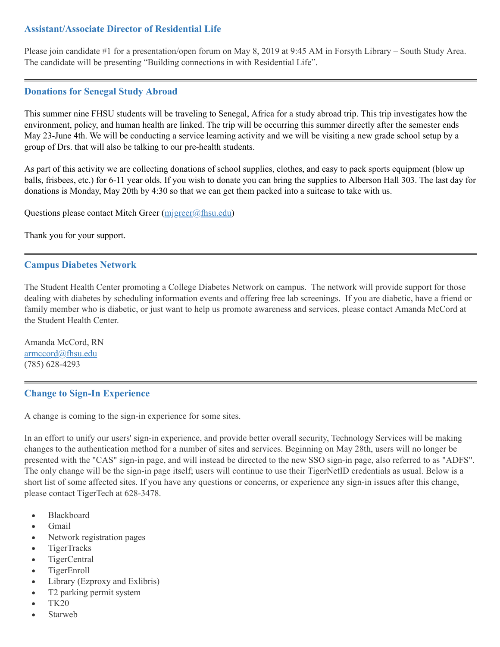# **Assistant/Associate Director of Residential Life**

Please join candidate #1 for a presentation/open forum on May 8, 2019 at 9:45 AM in Forsyth Library – South Study Area. The candidate will be presenting "Building connections in with Residential Life" .

#### **Donations for Senegal Study Abroad**

This summer nine FHSU students will be traveling to Senegal, Africa for a study abroad trip. This trip investigates how the environment, policy, and human health are linked. The trip will be occurring this summer directly after the semester ends May 23-June 4th. We will be conducting a service learning activity and we will be visiting a new grade school setup by a group of Drs. that will also be talking to our pre-health students.

As part of this activity we are collecting donations of school supplies, clothes, and easy to pack sports equipment (blow up balls, frisbees, etc.) for 6-11 year olds. If you wish to donate you can bring the supplies to Alberson Hall 303. The last day for donations is Monday, May 20th by 4:30 so that we can get them packed into a suitcase to take with us.

Questions please contact Mitch Greer ([mjgreer@fhsu.edu](mailto:mjgreer@fhsu.edu))

Thank you for your support.

# **Campus Diabetes Network**

The Student Health Center promoting a College Diabetes Network on campus. The network will provide support for those dealing with diabetes by scheduling information events and offering free lab screenings. If you are diabetic, have a friend or family member who is diabetic, or just want to help us promote awareness and services, please contact Amanda McCord at the Student Health Center.

Amanda McCord, RN [armccord@fhsu.edu](mailto:armccord@fhsu.edu) (785) 628-4293

# **Change to Sign-In Experience**

A change is coming to the sign-in experience for some sites.

In an effort to unify our users' sign-in experience, and provide better overall security, Technology Services will be making changes to the authentication method for a number of sites and services. Beginning on May 28th, users will no longer be presented with the "CAS" sign-in page, and will instead be directed to the new SSO sign-in page, also referred to as "ADFS" . The only change will be the sign-in page itself; users will continue to use their TigerNetID credentials as usual. Below is a short list of some affected sites. If you have any questions or concerns, or experience any sign-in issues after this change, please contact TigerTech at 628-3478.

- Blackboard
- · Gmail
- Network registration pages
- · TigerTracks
- · TigerCentral
- · TigerEnroll
- Library (Ezproxy and Exlibris)
- T2 parking permit system
- · TK20
- **Starweb**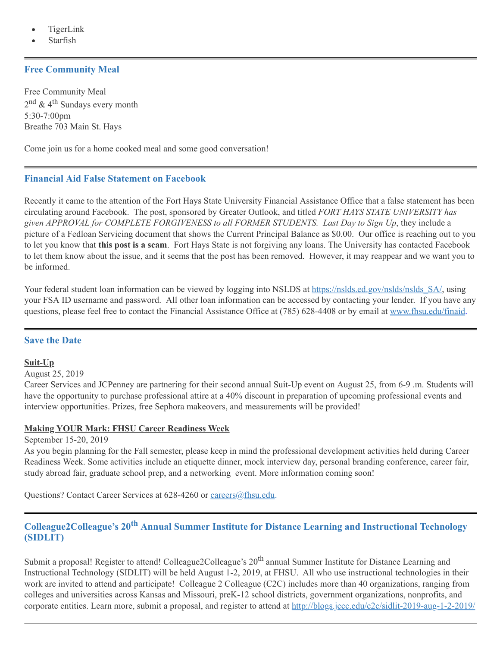- TigerLink
- **Starfish**

# **Free Community Meal**

Free Community Meal 2<sup>nd</sup> & 4<sup>th</sup> Sundays every month 5:30-7:00pm Breathe 703 Main St. Hays

Come join us for a home cooked meal and some good conversation!

#### **Financial Aid False Statement on Facebook**

Recently it came to the attention of the Fort Hays State University Financial Assistance Office that a false statement has been circulating around Facebook. The post, sponsored by Greater Outlook, and titled *FORT HAYS STATE UNIVERSITY has given APPROVAL for COMPLETE FORGIVENESS to all FORMER STUDENTS. Last Day to Sign Up*, they include a picture of a Fedloan Servicing document that shows the Current Principal Balance as \$0.00. Our office is reaching out to you to let you know that **this post is a scam**. Fort Hays State is not forgiving any loans. The University has contacted Facebook to let them know about the issue, and it seems that the post has been removed. However, it may reappear and we want you to be informed.

<span id="page-3-0"></span>Your federal student loan information can be viewed by logging into NSLDS at https://nslds.ed.gov/nslds/nslds SA/, using your FSA ID username and password. All other loan information can be accessed by contacting your lender. If you have any questions, please feel free to contact the Financial Assistance Office at (785) 628-4408 or by email at [www.fhsu.edu/finaid.](http://www.fhsu.edu/finaid)

# **Save the Date**

#### **Suit-Up**

August 25, 2019

Career Services and JCPenney are partnering for their second annual Suit-Up event on August 25, from 6-9 .m. Students will have the opportunity to purchase professional attire at a 40% discount in preparation of upcoming professional events and interview opportunities. Prizes, free Sephora makeovers, and measurements will be provided!

#### **Making YOUR Mark: FHSU Career Readiness Week**

September 15-20, 2019

As you begin planning for the Fall semester, please keep in mind the professional development activities held during Career Readiness Week. Some activities include an etiquette dinner, mock interview day, personal branding conference, career fair, study abroad fair, graduate school prep, and a networking event. More information coming soon!

Questions? Contact Career Services at 628-4260 or [careers@fhsu.edu.](mailto:careers@fhsu.edu)

# **Colleague2Colleague's 20th Annual Summer Institute for Distance Learning and Instructional Technology (SIDLIT)**

Submit a proposal! Register to attend! Colleague2Colleague's 20<sup>th</sup> annual Summer Institute for Distance Learning and Instructional Technology (SIDLIT) will be held August 1-2, 2019, at FHSU. All who use instructional technologies in their work are invited to attend and participate! Colleague 2 Colleague (C2C) includes more than 40 organizations, ranging from colleges and universities across Kansas and Missouri, preK-12 school districts, government organizations, nonprofits, and corporate entities. Learn more, submit a proposal, and register to attend at <http://blogs.jccc.edu/c2c/sidlit-2019-aug-1-2-2019/>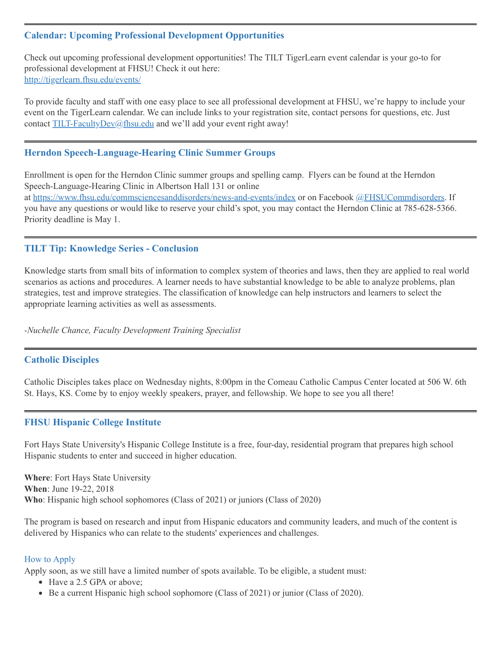# **Calendar: Upcoming Professional Development Opportunities**

<span id="page-4-0"></span>Check out upcoming professional development opportunities! The TILT TigerLearn event calendar is your go-to for professional development at FHSU! Check it out here: <http://tigerlearn.fhsu.edu/events/>

To provide faculty and staff with one easy place to see all professional development at FHSU, we're happy to include your event on the TigerLearn calendar. We can include links to your registration site, contact persons for questions, etc. Just contact [TILT-FacultyDev@fhsu.edu](mailto:TILT-FacultyDev@fhsu.edu) and we'll add your event right away!

# <span id="page-4-1"></span>**Herndon Speech-Language-Hearing Clinic Summer Groups**

Enrollment is open for the Herndon Clinic summer groups and spelling camp. Flyers can be found at the Herndon Speech-Language-Hearing Clinic in Albertson Hall 131 or online at <https://www.fhsu.edu/commsciencesanddisorders/news-and-events/index> or on Facebook [@FHSUCommdisorders](https://www.facebook.com/FHSUCommDisorders/). If you have any questions or would like to reserve your child's spot, you may contact the Herndon Clinic at 785-628-5366. Priority deadline is May 1.

# **TILT Tip: Knowledge Series - Conclusion**

Knowledge starts from small bits of information to complex system of theories and laws, then they are applied to real world scenarios as actions and procedures. A learner needs to have substantial knowledge to be able to analyze problems, plan strategies, test and improve strategies. The classification of knowledge can help instructors and learners to select the appropriate learning activities as well as assessments.

*-Nuchelle Chance, Faculty Development Training Specialist*

# **Catholic Disciples**

Catholic Disciples takes place on Wednesday nights, 8:00pm in the Comeau Catholic Campus Center located at 506 W. 6th St. Hays, KS. Come by to enjoy weekly speakers, prayer, and fellowship. We hope to see you all there!

# **FHSU Hispanic College Institute**

Fort Hays State University's Hispanic College Institute is a free, four-day, residential program that prepares high school Hispanic students to enter and succeed in higher education.

**Where**: Fort Hays State University **When**: June 19-22, 2018 **Who**: Hispanic high school sophomores (Class of 2021) or juniors (Class of 2020)

The program is based on research and input from Hispanic educators and community leaders, and much of the content is delivered by Hispanics who can relate to the students' experiences and challenges.

#### How to Apply

Apply soon, as we still have a limited number of spots available. To be eligible, a student must:

- <span id="page-4-2"></span>• Have a 2.5 GPA or above;
- Be a current Hispanic high school sophomore (Class of 2021) or junior (Class of 2020).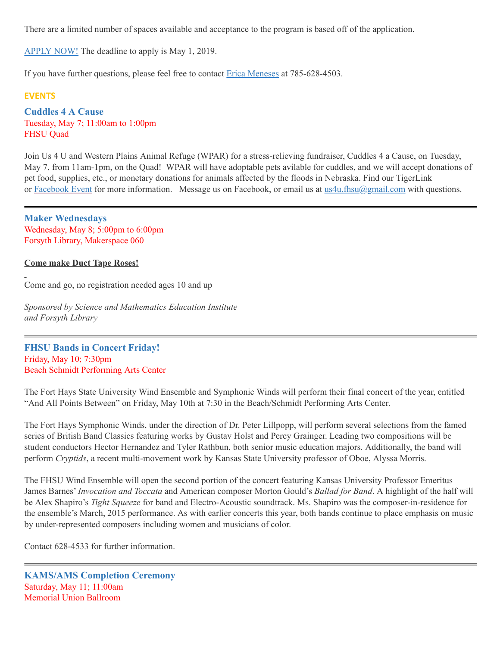There are a limited number of spaces available and acceptance to the program is based off of the application.

[APPLY](https://webapps.fhsu.edu/hciapplication/) NOW! The deadline to apply is May 1, 2019.

If you have further questions, please feel free to contact Erica [Meneses](mailto:mailto:h_perez@fhsu.edu?subject=mailto:h_perez@fhsu.edu) at 785-628-4503.

#### **EVENTS**

**Cuddles 4 A Cause** Tuesday, May 7; 11:00am to 1:00pm FHSU Quad

Join Us 4 U and Western Plains Animal Refuge (WPAR) for a stress-relieving fundraiser, Cuddles 4 a Cause, on Tuesday, May 7, from 11am-1pm, on the Quad! WPAR will have adoptable pets avilable for cuddles, and we will accept donations of pet food, supplies, etc., or monetary donations for animals affected by the floods in Nebraska. Find our TigerLink or [Facebook](https://www.facebook.com/events/2346778578939402/) Event for more information. Message us on Facebook, or email us at [us4u.fhsu@gmail.com](mailto:us4u.fhsu@gmail.com) with questions.

**Maker Wednesdays** Wednesday, May 8; 5:00pm to 6:00pm Forsyth Library, Makerspace 060

**Come make Duct Tape Roses!**

Come and go, no registration needed ages 10 and up

*Sponsored by Science and Mathematics Education Institute and Forsyth Library*

**FHSU Bands in Concert Friday!** Friday, May 10; 7:30pm Beach Schmidt Performing Arts Center

The Fort Hays State University Wind Ensemble and Symphonic Winds will perform their final concert of the year, entitled "And All Points Between" on Friday, May 10th at 7:30 in the Beach/Schmidt Performing Arts Center.

The Fort Hays Symphonic Winds, under the direction of Dr. Peter Lillpopp, will perform several selections from the famed series of British Band Classics featuring works by Gustav Holst and Percy Grainger. Leading two compositions will be student conductors Hector Hernandez and Tyler Rathbun, both senior music education majors. Additionally, the band will perform *Cryptids*, a recent multi-movement work by Kansas State University professor of Oboe, Alyssa Morris.

The FHSU Wind Ensemble will open the second portion of the concert featuring Kansas University Professor Emeritus James Barnes' *Invocation and Toccata* and American composer Morton Gould's *Ballad for Band*. A highlight of the half will be Alex Shapiro's *Tight Squeeze* for band and Electro-Acoustic soundtrack. Ms. Shapiro was the composer-in-residence for the ensemble's March, 2015 performance. As with earlier concerts this year, both bands continue to place emphasis on music by under-represented composers including women and musicians of color.

Contact 628-4533 for further information.

**KAMS/AMS Completion Ceremony** Saturday, May 11; 11:00am Memorial Union Ballroom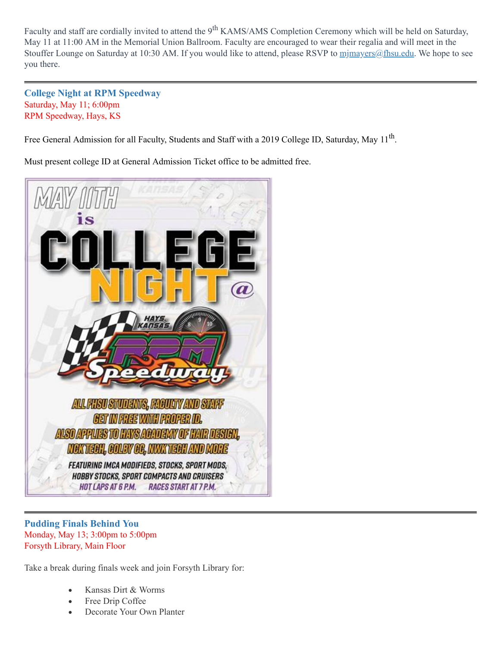Faculty and staff are cordially invited to attend the 9<sup>th</sup> KAMS/AMS Completion Ceremony which will be held on Saturday, May 11 at 11:00 AM in the Memorial Union Ballroom. Faculty are encouraged to wear their regalia and will meet in the Stouffer Lounge on Saturday at 10:30 AM. If you would like to attend, please RSVP to minayers@fhsu.edu. We hope to see you there.

**College Night at RPM Speedway** Saturday, May 11; 6:00pm RPM Speedway, Hays, KS

Free General Admission for all Faculty, Students and Staff with a 2019 College ID, Saturday, May 11<sup>th</sup>.

<span id="page-6-0"></span>Must present college ID at General Admission Ticket office to be admitted free.



# **Pudding Finals Behind You** Monday, May 13; 3:00pm to 5:00pm Forsyth Library, Main Floor

Take a break during finals week and join Forsyth Library for:

- · Kansas Dirt & Worms
- Free Drip Coffee
- Decorate Your Own Planter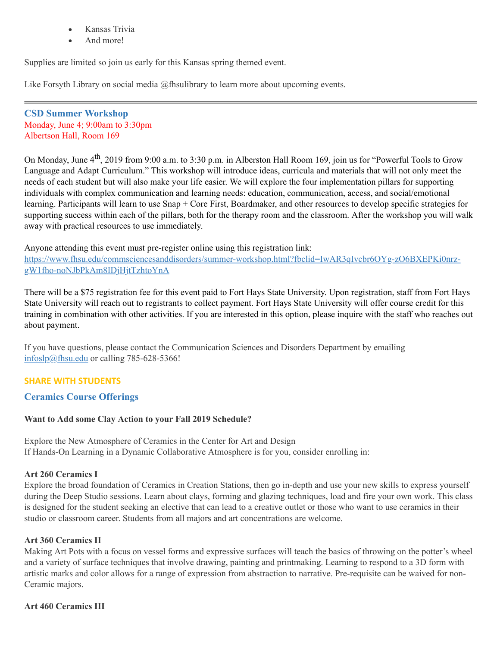- Kansas Trivia
- And more!

Supplies are limited so join us early for this Kansas spring themed event.

Like Forsyth Library on social media @fhsulibrary to learn more about upcoming events.

**CSD Summer Workshop** Monday, June 4; 9:00am to 3:30pm Albertson Hall, Room 169

On Monday, June 4<sup>th</sup>, 2019 from 9:00 a.m. to 3:30 p.m. in Alberston Hall Room 169, join us for "Powerful Tools to Grow Language and Adapt Curriculum. " This workshop will introduce ideas, curricula and materials that will not only meet the needs of each student but will also make your life easier. We will explore the four implementation pillars for supporting individuals with complex communication and learning needs: education, communication, access, and social/emotional learning. Participants will learn to use Snap + Core First, Boardmaker, and other resources to develop specific strategies for supporting success within each of the pillars, both for the therapy room and the classroom. After the workshop you will walk away with practical resources to use immediately.

Anyone attending this event must pre-register online using this registration link: [https://www.fhsu.edu/commsciencesanddisorders/summer-workshop.html?fbclid=IwAR3qIvcbr6OYg-zO6BXEPKi0nrz](https://www.fhsu.edu/commsciencesanddisorders/summer-workshop.html?fbclid=IwAR3qIvcbr6OYg-zO6BXEPKi0nrz-gW1fho-noNJbPkAm8IDjHjtTzhtoYnA)gW1fho-noNJbPkAm8IDjHjtTzhtoYnA

There will be a \$75 registration fee for this event paid to Fort Hays State University. Upon registration, staff from Fort Hays State University will reach out to registrants to collect payment. Fort Hays State University will offer course credit for this training in combination with other activities. If you are interested in this option, please inquire with the staff who reaches out about payment.

<span id="page-7-0"></span>If you have questions, please contact the Communication Sciences and Disorders Department by emailing [infoslp@fhsu.edu](mailto:infoslp@fhsu.edu) or calling 785-628-5366!

# **SHARE WITH STUDENTS**

# **Ceramics Course Offerings**

# **Want to Add some Clay Action to your Fall 2019 Schedule?**

Explore the New Atmosphere of Ceramics in the Center for Art and Design If Hands-On Learning in a Dynamic Collaborative Atmosphere is for you, consider enrolling in:

# **Art 260 Ceramics I**

Explore the broad foundation of Ceramics in Creation Stations, then go in-depth and use your new skills to express yourself during the Deep Studio sessions. Learn about clays, forming and glazing techniques, load and fire your own work. This class is designed for the student seeking an elective that can lead to a creative outlet or those who want to use ceramics in their studio or classroom career. Students from all majors and art concentrations are welcome.

#### **Art 360 Ceramics II**

Making Art Pots with a focus on vessel forms and expressive surfaces will teach the basics of throwing on the potter's wheel and a variety of surface techniques that involve drawing, painting and printmaking. Learning to respond to a 3D form with artistic marks and color allows for a range of expression from abstraction to narrative. Pre-requisite can be waived for non-Ceramic majors.

#### **Art 460 Ceramics III**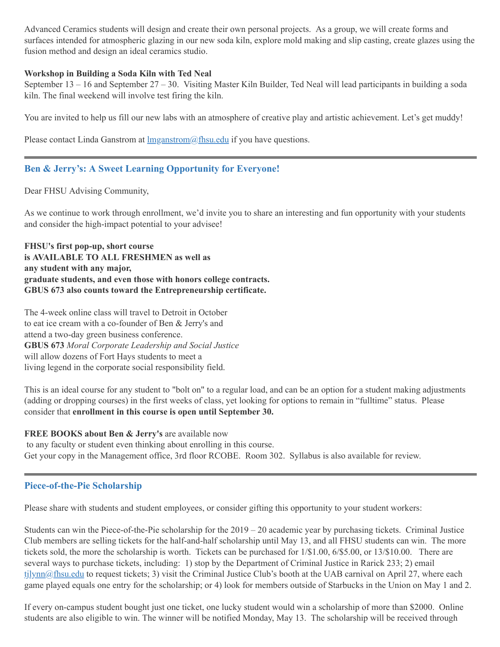Advanced Ceramics students will design and create their own personal projects. As a group, we will create forms and surfaces intended for atmospheric glazing in our new soda kiln, explore mold making and slip casting, create glazes using the fusion method and design an ideal ceramics studio.

#### **Workshop in Building a Soda Kiln with Ted Neal**

September  $13 - 16$  and September  $27 - 30$ . Visiting Master Kiln Builder, Ted Neal will lead participants in building a soda kiln. The final weekend will involve test firing the kiln.

You are invited to help us fill our new labs with an atmosphere of creative play and artistic achievement. Let's get muddy!

Please contact Linda Ganstrom at  $\text{Im}$  ganstrom  $\textcircled{a}$  fhsu.edu if you have questions.

# **Ben & Jerry's: A Sweet Learning Opportunity for Everyone!**

Dear FHSU Advising Community,

As we continue to work through enrollment, we'd invite you to share an interesting and fun opportunity with your students and consider the high-impact potential to your advisee!

**FHSU's first pop-up, short course is AVAILABLE TO ALL FRESHMEN as well as any student with any major, graduate students, and even those with honors college contracts. GBUS 673 also counts toward the Entrepreneurship certificate.**

The 4-week online class will travel to Detroit in October to eat ice cream with a co-founder of Ben & Jerry's and attend a two-day green business conference. **GBUS 673** *Moral Corporate Leadership and Social Justice* will allow dozens of Fort Hays students to meet a living legend in the corporate social responsibility field.

This is an ideal course for any student to "bolt on" to a regular load, and can be an option for a student making adjustments (adding or dropping courses) in the first weeks of class, yet looking for options to remain in "fulltime" status. Please consider that **enrollment in this course is open until September 30.**

# **FREE BOOKS about Ben & Jerry's** are available now

to any faculty or student even thinking about enrolling in this course. Get your copy in the Management office, 3rd floor RCOBE. Room 302. Syllabus is also available for review.

# **Piece-of-the-Pie Scholarship**

Please share with students and student employees, or consider gifting this opportunity to your student workers:

Students can win the Piece-of-the-Pie scholarship for the 2019 – 20 academic year by purchasing tickets. Criminal Justice Club members are selling tickets for the half-and-half scholarship until May 13, and all FHSU students can win. The more tickets sold, the more the scholarship is worth. Tickets can be purchased for 1/\$1.00, 6/\$5.00, or 13/\$10.00. There are several ways to purchase tickets, including: 1) stop by the Department of Criminal Justice in Rarick 233; 2) email tilynn@fhsu.edu to request tickets; 3) visit the Criminal Justice Club's booth at the UAB carnival on April 27, where each game played equals one entry for the scholarship; or 4) look for members outside of Starbucks in the Union on May 1 and 2.

If every on-campus student bought just one ticket, one lucky student would win a scholarship of more than \$2000. Online students are also eligible to win. The winner will be notified Monday, May 13. The scholarship will be received through